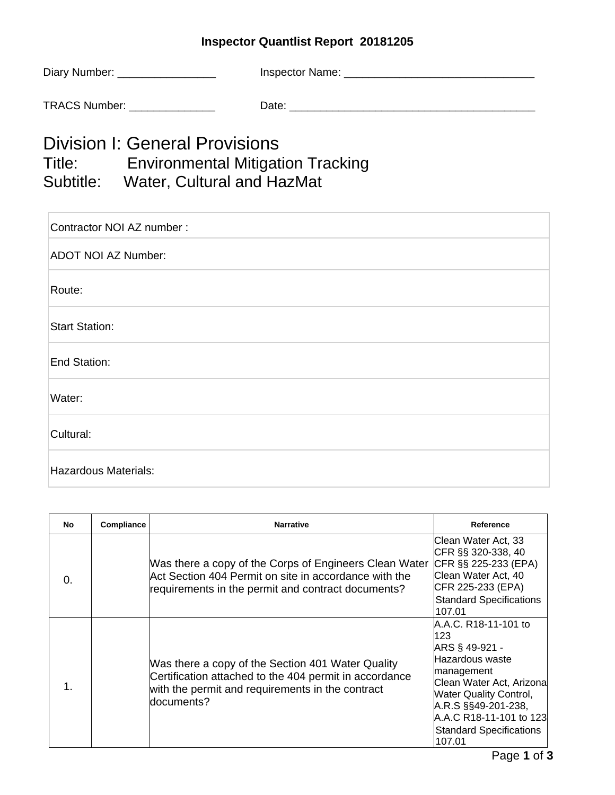## **Inspector Quantlist Report 20181205**

| Diary Number: | Inspector Name: |
|---------------|-----------------|
| TRACS Number: | Date:           |
|               |                 |

## Division I: General Provisions Title: Environmental Mitigation Tracking Subtitle: Water, Cultural and HazMat

| Contractor NOI AZ number : |  |  |  |  |
|----------------------------|--|--|--|--|
| <b>ADOT NOI AZ Number:</b> |  |  |  |  |
| Route:                     |  |  |  |  |
| <b>Start Station:</b>      |  |  |  |  |
| End Station:               |  |  |  |  |
| Water:                     |  |  |  |  |
| Cultural:                  |  |  |  |  |
| Hazardous Materials:       |  |  |  |  |

| No | Compliance | <b>Narrative</b>                                                                                                                                                              | Reference                                                                                                                                                                                                                                  |
|----|------------|-------------------------------------------------------------------------------------------------------------------------------------------------------------------------------|--------------------------------------------------------------------------------------------------------------------------------------------------------------------------------------------------------------------------------------------|
| 0. |            | Was there a copy of the Corps of Engineers Clean Water<br>Act Section 404 Permit on site in accordance with the<br>requirements in the permit and contract documents?         | lClean Water Act. 33<br>CFR §§ 320-338, 40<br>CFR §§ 225-233 (EPA)<br>Clean Water Act, 40<br>CFR 225-233 (EPA)<br><b>Standard Specifications</b><br>107.01                                                                                 |
| 1. |            | Was there a copy of the Section 401 Water Quality<br>Certification attached to the 404 permit in accordance<br>with the permit and requirements in the contract<br>documents? | IA.A.C. R18-11-101 to<br>123<br>ARS § 49-921 -<br>Hazardous waste<br>management<br>Clean Water Act, Arizona<br><b>Water Quality Control,</b><br>A.R.S §§49-201-238,<br>A.A.C R18-11-101 to 123<br><b>Standard Specifications</b><br>107.01 |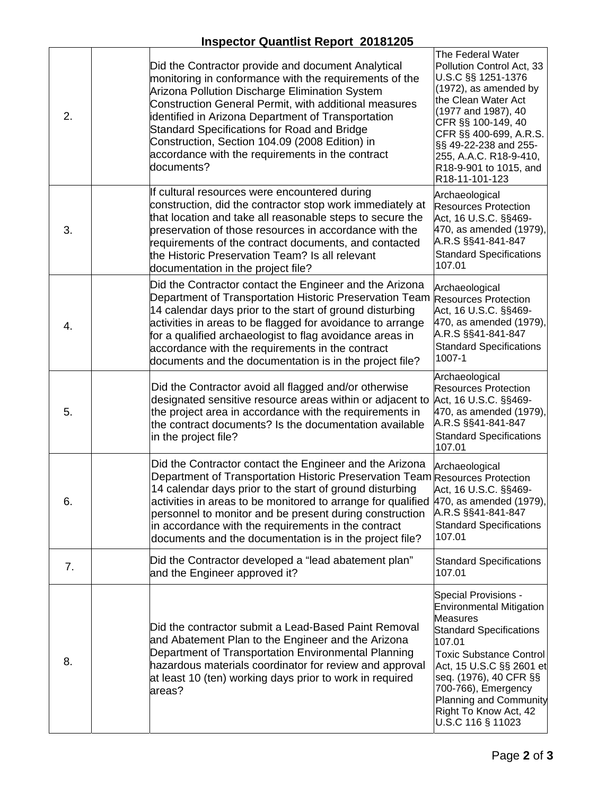## **Inspector Quantlist Report 20181205**

|    | 00.0. Gaannot Roport Europa                                                                                                                                                                                                                                                                                                                                                                                                                      |                                                                                                                                                                                                                                                                                                                      |
|----|--------------------------------------------------------------------------------------------------------------------------------------------------------------------------------------------------------------------------------------------------------------------------------------------------------------------------------------------------------------------------------------------------------------------------------------------------|----------------------------------------------------------------------------------------------------------------------------------------------------------------------------------------------------------------------------------------------------------------------------------------------------------------------|
| 2. | Did the Contractor provide and document Analytical<br>monitoring in conformance with the requirements of the<br>Arizona Pollution Discharge Elimination System<br>Construction General Permit, with additional measures<br>identified in Arizona Department of Transportation<br>Standard Specifications for Road and Bridge<br>Construction, Section 104.09 (2008 Edition) in<br>accordance with the requirements in the contract<br>documents? | The Federal Water<br>Pollution Control Act, 33<br>U.S.C §§ 1251-1376<br>(1972), as amended by<br>the Clean Water Act<br>(1977 and 1987), 40<br>CFR §§ 100-149, 40<br>CFR §§ 400-699, A.R.S.<br>§§ 49-22-238 and 255-<br>255, A.A.C. R18-9-410,<br>R18-9-901 to 1015, and<br>R18-11-101-123                           |
| 3. | If cultural resources were encountered during<br>construction, did the contractor stop work immediately at<br>that location and take all reasonable steps to secure the<br>preservation of those resources in accordance with the<br>requirements of the contract documents, and contacted<br>the Historic Preservation Team? Is all relevant<br>documentation in the project file?                                                              | Archaeological<br><b>Resources Protection</b><br>Act, 16 U.S.C. §§469-<br>470, as amended (1979),<br>A.R.S §§41-841-847<br><b>Standard Specifications</b><br>107.01                                                                                                                                                  |
| 4. | Did the Contractor contact the Engineer and the Arizona<br>Department of Transportation Historic Preservation Team<br>14 calendar days prior to the start of ground disturbing<br>activities in areas to be flagged for avoidance to arrange<br>for a qualified archaeologist to flag avoidance areas in<br>accordance with the requirements in the contract<br>documents and the documentation is in the project file?                          | Archaeological<br><b>Resources Protection</b><br>Act, 16 U.S.C. §§469-<br>470, as amended (1979),<br>A.R.S §§41-841-847<br><b>Standard Specifications</b><br>1007-1                                                                                                                                                  |
| 5. | Did the Contractor avoid all flagged and/or otherwise<br>designated sensitive resource areas within or adjacent to<br>the project area in accordance with the requirements in<br>the contract documents? Is the documentation available<br>in the project file?                                                                                                                                                                                  | Archaeological<br><b>Resources Protection</b><br>Act, 16 U.S.C. §§469-<br>470, as amended (1979),<br>A.R.S §§41-841-847<br><b>Standard Specifications</b><br>107.01                                                                                                                                                  |
| 6. | Did the Contractor contact the Engineer and the Arizona<br>Department of Transportation Historic Preservation Team Resources Protection<br>14 calendar days prior to the start of ground disturbing<br>activities in areas to be monitored to arrange for qualified<br>personnel to monitor and be present during construction<br>in accordance with the requirements in the contract<br>documents and the documentation is in the project file? | Archaeological<br>Act, 16 U.S.C. §§469-<br>470, as amended (1979),<br>A.R.S §§41-841-847<br><b>Standard Specifications</b><br>107.01                                                                                                                                                                                 |
| 7. | Did the Contractor developed a "lead abatement plan"<br>and the Engineer approved it?                                                                                                                                                                                                                                                                                                                                                            | <b>Standard Specifications</b><br>107.01                                                                                                                                                                                                                                                                             |
| 8. | Did the contractor submit a Lead-Based Paint Removal<br>and Abatement Plan to the Engineer and the Arizona<br>Department of Transportation Environmental Planning<br>hazardous materials coordinator for review and approval<br>at least 10 (ten) working days prior to work in required<br>areas?                                                                                                                                               | <b>Special Provisions -</b><br><b>Environmental Mitigation</b><br>Measures<br><b>Standard Specifications</b><br>107.01<br><b>Toxic Substance Control</b><br>Act, 15 U.S.C §§ 2601 et<br>seq. (1976), 40 CFR §§<br>700-766), Emergency<br><b>Planning and Community</b><br>Right To Know Act, 42<br>U.S.C 116 § 11023 |